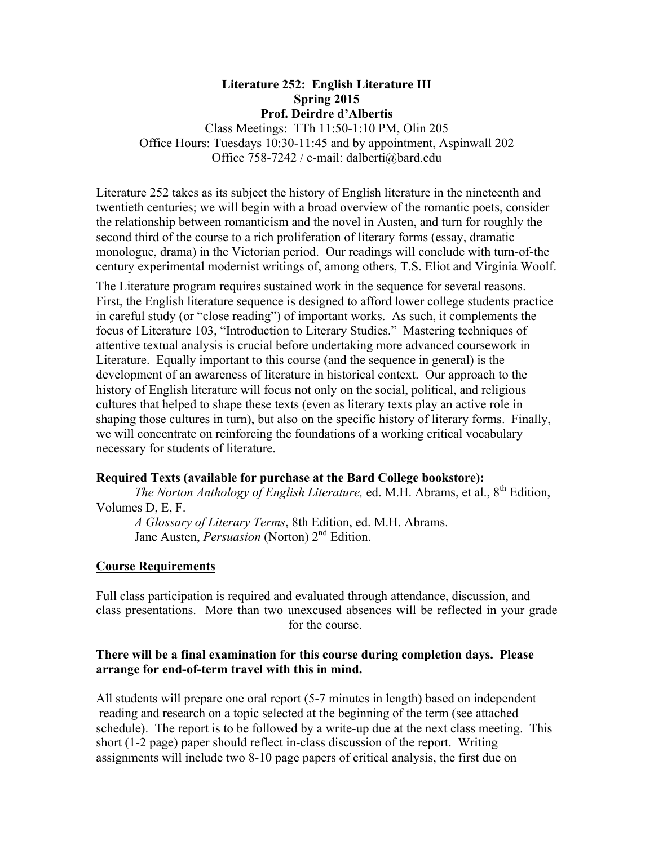### **Literature 252: English Literature III Spring 2015 Prof. Deirdre d'Albertis**

Class Meetings: TTh 11:50-1:10 PM, Olin 205 Office Hours: Tuesdays 10:30-11:45 and by appointment, Aspinwall 202 Office 758-7242 / e-mail: dalberti@bard.edu

Literature 252 takes as its subject the history of English literature in the nineteenth and twentieth centuries; we will begin with a broad overview of the romantic poets, consider the relationship between romanticism and the novel in Austen, and turn for roughly the second third of the course to a rich proliferation of literary forms (essay, dramatic monologue, drama) in the Victorian period. Our readings will conclude with turn-of-the century experimental modernist writings of, among others, T.S. Eliot and Virginia Woolf.

The Literature program requires sustained work in the sequence for several reasons. First, the English literature sequence is designed to afford lower college students practice in careful study (or "close reading") of important works. As such, it complements the focus of Literature 103, "Introduction to Literary Studies." Mastering techniques of attentive textual analysis is crucial before undertaking more advanced coursework in Literature. Equally important to this course (and the sequence in general) is the development of an awareness of literature in historical context. Our approach to the history of English literature will focus not only on the social, political, and religious cultures that helped to shape these texts (even as literary texts play an active role in shaping those cultures in turn), but also on the specific history of literary forms. Finally, we will concentrate on reinforcing the foundations of a working critical vocabulary necessary for students of literature.

# **Required Texts (available for purchase at the Bard College bookstore):**

*The Norton Anthology of English Literature, ed. M.H. Abrams, et al., 8<sup>th</sup> Edition,* Volumes D, E, F.

*A Glossary of Literary Terms*, 8th Edition, ed. M.H. Abrams. Jane Austen, *Persuasion* (Norton) 2<sup>nd</sup> Edition.

#### **Course Requirements**

Full class participation is required and evaluated through attendance, discussion, and class presentations. More than two unexcused absences will be reflected in your grade for the course.

## **There will be a final examination for this course during completion days. Please arrange for end-of-term travel with this in mind.**

All students will prepare one oral report (5-7 minutes in length) based on independent reading and research on a topic selected at the beginning of the term (see attached schedule). The report is to be followed by a write-up due at the next class meeting. This short (1-2 page) paper should reflect in-class discussion of the report. Writing assignments will include two 8-10 page papers of critical analysis, the first due on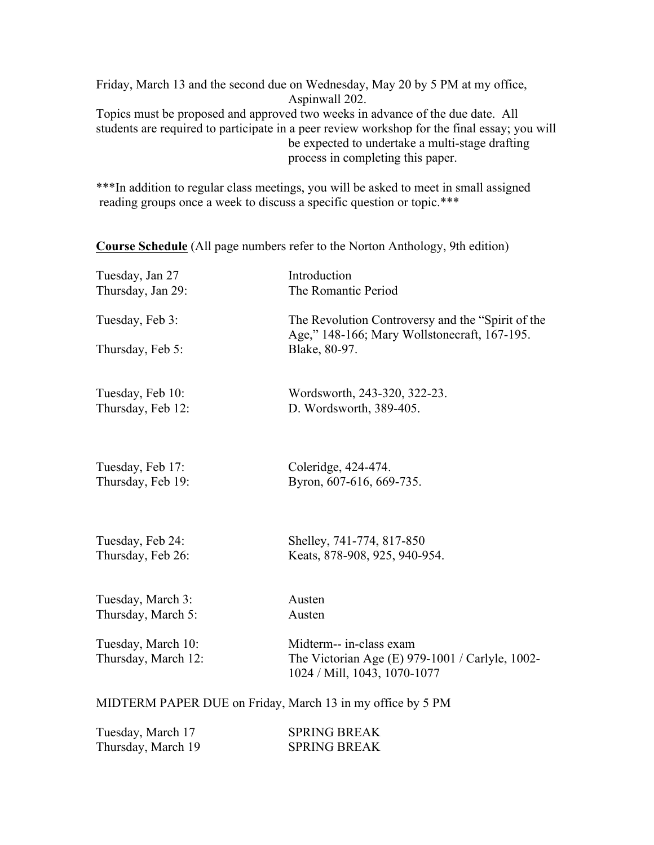Friday, March 13 and the second due on Wednesday, May 20 by 5 PM at my office, Aspinwall 202. Topics must be proposed and approved two weeks in advance of the due date. All students are required to participate in a peer review workshop for the final essay; you will be expected to undertake a multi-stage drafting process in completing this paper.

\*\*\*In addition to regular class meetings, you will be asked to meet in small assigned reading groups once a week to discuss a specific question or topic.\*\*\*

**Course Schedule** (All page numbers refer to the Norton Anthology, 9th edition)

| Tuesday, Jan 27<br>Thursday, Jan 29:                       | Introduction<br>The Romantic Period                                                               |  |
|------------------------------------------------------------|---------------------------------------------------------------------------------------------------|--|
| Tuesday, Feb 3:                                            | The Revolution Controversy and the "Spirit of the<br>Age," 148-166; Mary Wollstonecraft, 167-195. |  |
| Thursday, Feb 5:                                           | Blake, 80-97.                                                                                     |  |
| Tuesday, Feb 10:                                           | Wordsworth, 243-320, 322-23.                                                                      |  |
| Thursday, Feb 12:                                          | D. Wordsworth, 389-405.                                                                           |  |
| Tuesday, Feb 17:                                           | Coleridge, 424-474.                                                                               |  |
| Thursday, Feb 19:                                          | Byron, 607-616, 669-735.                                                                          |  |
| Tuesday, Feb 24:                                           | Shelley, 741-774, 817-850                                                                         |  |
| Thursday, Feb 26:                                          | Keats, 878-908, 925, 940-954.                                                                     |  |
| Tuesday, March 3:                                          | Austen                                                                                            |  |
| Thursday, March 5:                                         | Austen                                                                                            |  |
| Tuesday, March 10:                                         | Midterm-- in-class exam                                                                           |  |
| Thursday, March 12:                                        | The Victorian Age (E) 979-1001 / Carlyle, 1002-<br>1024 / Mill, 1043, 1070-1077                   |  |
| MIDTERM PAPER DUE on Friday, March 13 in my office by 5 PM |                                                                                                   |  |

| Tuesday, March 17  | <b>SPRING BREAK</b> |
|--------------------|---------------------|
| Thursday, March 19 | <b>SPRING BREAK</b> |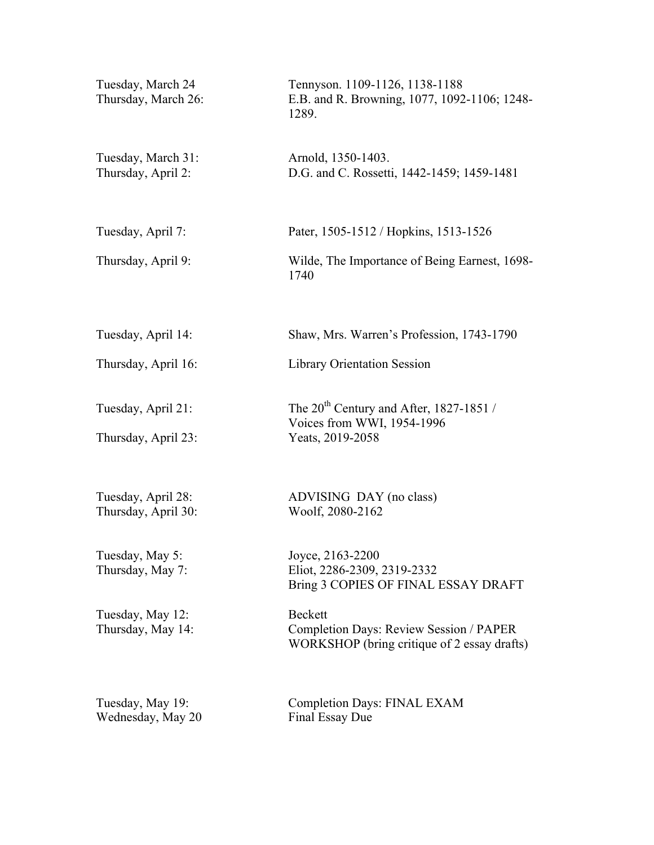| Tuesday, March 24<br>Thursday, March 26:  | Tennyson. 1109-1126, 1138-1188<br>E.B. and R. Browning, 1077, 1092-1106; 1248-<br>1289.                         |
|-------------------------------------------|-----------------------------------------------------------------------------------------------------------------|
| Tuesday, March 31:<br>Thursday, April 2:  | Arnold, 1350-1403.<br>D.G. and C. Rossetti, 1442-1459; 1459-1481                                                |
| Tuesday, April 7:                         | Pater, 1505-1512 / Hopkins, 1513-1526                                                                           |
| Thursday, April 9:                        | Wilde, The Importance of Being Earnest, 1698-<br>1740                                                           |
| Tuesday, April 14:                        | Shaw, Mrs. Warren's Profession, 1743-1790                                                                       |
| Thursday, April 16:                       | <b>Library Orientation Session</b>                                                                              |
| Tuesday, April 21:<br>Thursday, April 23: | The $20^{th}$ Century and After, 1827-1851 /<br>Voices from WWI, 1954-1996<br>Yeats, 2019-2058                  |
| Tuesday, April 28:<br>Thursday, April 30: | ADVISING DAY (no class)<br>Woolf, 2080-2162                                                                     |
| Tuesday, May 5:<br>Thursday, May 7:       | Joyce, 2163-2200<br>Eliot, 2286-2309, 2319-2332<br>Bring 3 COPIES OF FINAL ESSAY DRAFT                          |
| Tuesday, May 12:<br>Thursday, May 14:     | <b>Beckett</b><br><b>Completion Days: Review Session / PAPER</b><br>WORKSHOP (bring critique of 2 essay drafts) |
| Tuesday, May 19:<br>Wednesday, May 20     | <b>Completion Days: FINAL EXAM</b><br>Final Essay Due                                                           |